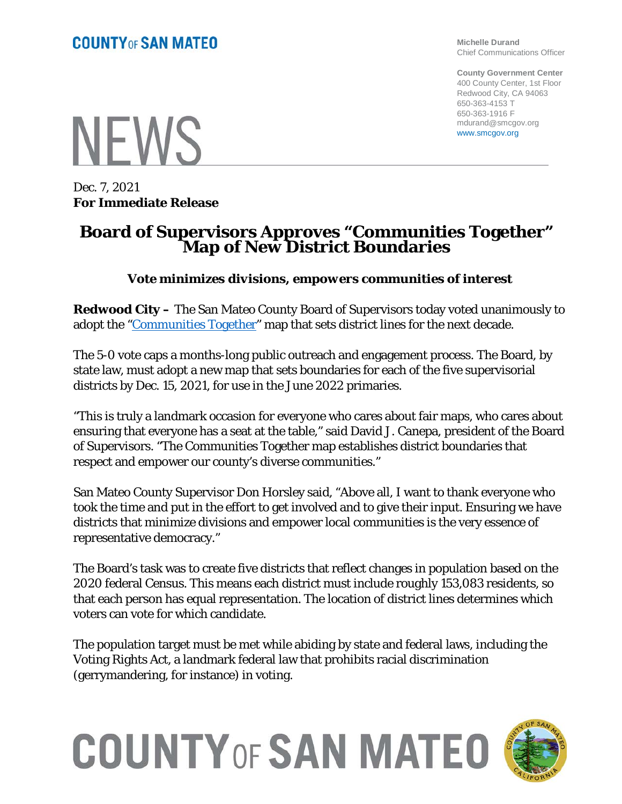**Michelle Durand** Chief Communications Officer

**County Government Center** 400 County Center, 1st Floor Redwood City, CA 94063 650-363-4153 T 650-363-1916 F mdurand@smcgov.org www.smcgov.org

**NEWS** 

Dec. 7, 2021 **For Immediate Release**

### **Board of Supervisors Approves "Communities Together" Map of New District Boundaries**

#### *Vote minimizes divisions, empowers communities of interest*

**Redwood City –** The San Mateo County Board of Supervisors today voted unanimously to adopt the ["Communities Together"](https://smcdistrictlines.org/wp-content/uploads/2021/11/Communities-Together.pdf) map that sets district lines for the next decade.

The 5-0 vote caps a months-long public outreach and engagement process. The Board, by state law, must adopt a new map that sets boundaries for each of the five supervisorial districts by Dec. 15, 2021, for use in the June 2022 primaries.

"This is truly a landmark occasion for everyone who cares about fair maps, who cares about ensuring that everyone has a seat at the table," said David J. Canepa, president of the Board of Supervisors. "The Communities Together map establishes district boundaries that respect and empower our county's diverse communities."

San Mateo County Supervisor Don Horsley said, "Above all, I want to thank everyone who took the time and put in the effort to get involved and to give their input. Ensuring we have districts that minimize divisions and empower local communities is the very essence of representative democracy."

The Board's task was to create five districts that reflect changes in population based on the 2020 federal Census. This means each district must include roughly 153,083 residents, so that each person has equal representation. The location of district lines determines which voters can vote for which candidate.

The population target must be met while abiding by state and federal laws, including the Voting Rights Act, a landmark federal law that prohibits racial discrimination (gerrymandering, for instance) in voting.

# **COUNTY OF SAN MATEO**

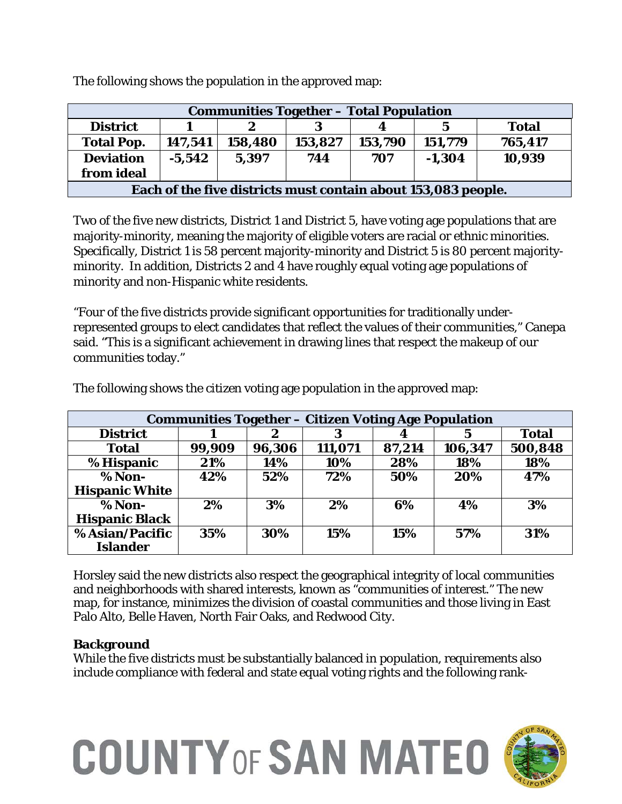| <b>Communities Together - Total Population</b>                |          |         |         |         |          |              |  |  |  |  |
|---------------------------------------------------------------|----------|---------|---------|---------|----------|--------------|--|--|--|--|
| <b>District</b>                                               |          |         |         | 4       | 5        | <b>Total</b> |  |  |  |  |
| <b>Total Pop.</b>                                             | 147,541  | 158,480 | 153,827 | 153,790 | 151,779  | 765,417      |  |  |  |  |
| <b>Deviation</b>                                              | $-5,542$ | 5,397   | 744     | 707     | $-1,304$ | 10,939       |  |  |  |  |
| from ideal                                                    |          |         |         |         |          |              |  |  |  |  |
| Each of the five districts must contain about 153,083 people. |          |         |         |         |          |              |  |  |  |  |

The following shows the population in the approved map:

Two of the five new districts, District 1 and District 5, have voting age populations that are majority-minority, meaning the majority of eligible voters are racial or ethnic minorities. Specifically, District 1 is 58 percent majority-minority and District 5 is 80 percent majorityminority. In addition, Districts 2 and 4 have roughly equal voting age populations of minority and non-Hispanic white residents.

"Four of the five districts provide significant opportunities for traditionally underrepresented groups to elect candidates that reflect the values of their communities," Canepa said. "This is a significant achievement in drawing lines that respect the makeup of our communities today."

| <b>Communities Together – Citizen Voting Age Population</b> |        |        |         |        |         |              |  |  |  |  |
|-------------------------------------------------------------|--------|--------|---------|--------|---------|--------------|--|--|--|--|
| <b>District</b>                                             |        | 2      | 3       | 4      |         | <b>Total</b> |  |  |  |  |
| <b>Total</b>                                                | 99,909 | 96,306 | 111,071 | 87,214 | 106,347 | 500,848      |  |  |  |  |
| % Hispanic                                                  | 21%    | 14%    | 10%     | 28%    | 18%     | 18%          |  |  |  |  |
| % Non-                                                      | 42%    | 52%    | 72%     | 50%    | 20%     | 47%          |  |  |  |  |
| <b>Hispanic White</b>                                       |        |        |         |        |         |              |  |  |  |  |
| $% Non-$                                                    | 2%     | 3%     | 2%      | 6%     | 4%      | 3%           |  |  |  |  |
| <b>Hispanic Black</b>                                       |        |        |         |        |         |              |  |  |  |  |
| % Asian/Pacific                                             | 35%    | 30%    | 15%     | 15%    | 57%     | 31%          |  |  |  |  |
| <b>Islander</b>                                             |        |        |         |        |         |              |  |  |  |  |

The following shows the citizen voting age population in the approved map:

Horsley said the new districts also respect the geographical integrity of local communities and neighborhoods with shared interests, known as "communities of interest." The new map, for instance, minimizes the division of coastal communities and those living in East Palo Alto, Belle Haven, North Fair Oaks, and Redwood City.

#### **Background**

While the five districts must be substantially balanced in population, requirements also include compliance with federal and state equal voting rights and the following rank-

# **COUNTY OF SAN MATEO**